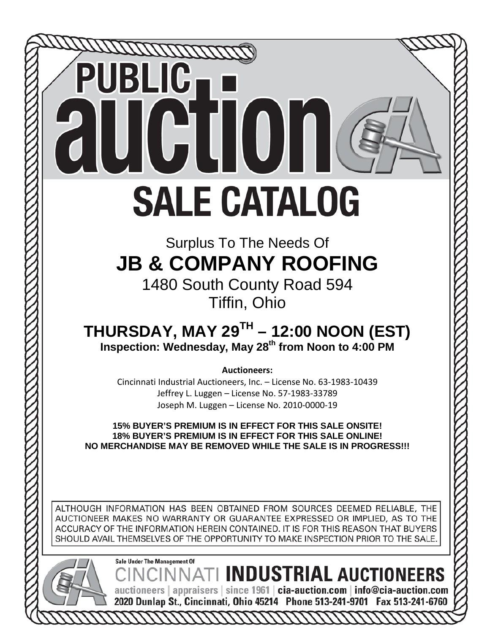# PUBLICaucuon **SALE CATALOG**

Surplus To The Needs Of **JB & COMPANY ROOFING**

1480 South County Road 594 Tiffin, Ohio

## **THURSDAY, MAY 29TH – 12:00 NOON (EST) Inspection: Wednesday, May 28th from Noon to 4:00 PM**

**Auctioneers:**

Cincinnati Industrial Auctioneers, Inc. – License No. 63-1983-10439 Jeffrey L. Luggen – License No. 57-1983-33789 Joseph M. Luggen – License No. 2010-0000-19

**15% BUYER'S PREMIUM IS IN EFFECT FOR THIS SALE ONSITE! 18% BUYER'S PREMIUM IS IN EFFECT FOR THIS SALE ONLINE! NO MERCHANDISE MAY BE REMOVED WHILE THE SALE IS IN PROGRESS!!!**

ALTHOUGH INFORMATION HAS BEEN OBTAINED FROM SOURCES DEEMED RELIABLE, THE AUCTIONEER MAKES NO WARRANTY OR GUARANTEE EXPRESSED OR IMPLIED, AS TO THE ACCURACY OF THE INFORMATION HEREIN CONTAINED. IT IS FOR THIS REASON THAT BUYERS SHOULD AVAIL THEMSELVES OF THE OPPORTUNITY TO MAKE INSPECTION PRIOR TO THE SALE.

*MMMMMMM* 

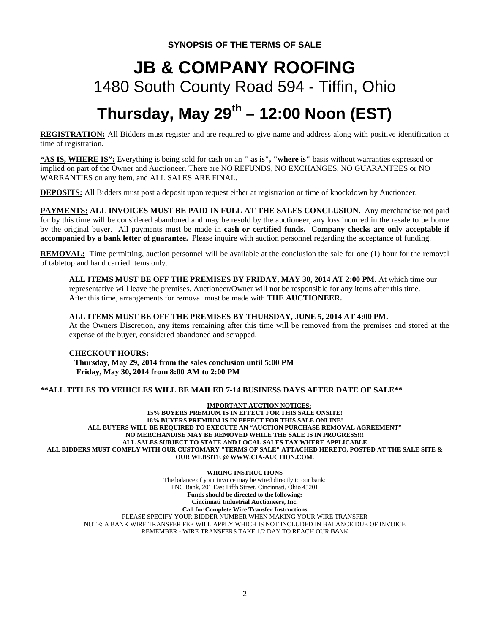# **JB & COMPANY ROOFING** 1480 South County Road 594 - Tiffin, Ohio

# **Thursday, May 29th – 12:00 Noon (EST)**

**REGISTRATION:** All Bidders must register and are required to give name and address along with positive identification at time of registration.

**"AS IS, WHERE IS":** Everything is being sold for cash on an **" as is", "where is"** basis without warranties expressed or implied on part of the Owner and Auctioneer. There are NO REFUNDS, NO EXCHANGES, NO GUARANTEES or NO WARRANTIES on any item, and ALL SALES ARE FINAL.

**DEPOSITS:** All Bidders must post a deposit upon request either at registration or time of knockdown by Auctioneer.

**PAYMENTS: ALL INVOICES MUST BE PAID IN FULL AT THE SALES CONCLUSION.** Any merchandise not paid for by this time will be considered abandoned and may be resold by the auctioneer, any loss incurred in the resale to be borne by the original buyer. All payments must be made in **cash or certified funds. Company checks are only acceptable if accompanied by a bank letter of guarantee.** Please inquire with auction personnel regarding the acceptance of funding.

**REMOVAL:** Time permitting, auction personnel will be available at the conclusion the sale for one (1) hour for the removal of tabletop and hand carried items only.

**ALL ITEMS MUST BE OFF THE PREMISES BY FRIDAY, MAY 30, 2014 AT 2:00 PM.** At which time our representative will leave the premises. Auctioneer/Owner will not be responsible for any items after this time. After this time, arrangements for removal must be made with **THE AUCTIONEER.**

### **ALL ITEMS MUST BE OFF THE PREMISES BY THURSDAY, JUNE 5, 2014 AT 4:00 PM.**

At the Owners Discretion, any items remaining after this time will be removed from the premises and stored at the expense of the buyer, considered abandoned and scrapped.

### **CHECKOUT HOURS:**

 **Thursday, May 29, 2014 from the sales conclusion until 5:00 PM Friday, May 30, 2014 from 8:00 AM to 2:00 PM** 

**\*\*ALL TITLES TO VEHICLES WILL BE MAILED 7-14 BUSINESS DAYS AFTER DATE OF SALE\*\* IMPORTANT AUCTION NOTICES:**

**15% BUYERS PREMIUM IS IN EFFECT FOR THIS SALE ONSITE! 18% BUYERS PREMIUM IS IN EFFECT FOR THIS SALE ONLINE! ALL BUYERS WILL BE REQUIRED TO EXECUTE AN "AUCTION PURCHASE REMOVAL AGREEMENT" NO MERCHANDISE MAY BE REMOVED WHILE THE SALE IS IN PROGRESS!!! ALL SALES SUBJECT TO STATE AND LOCAL SALES TAX WHERE APPLICABLE ALL BIDDERS MUST COMPLY WITH OUR CUSTOMARY "TERMS OF SALE" ATTACHED HERETO, POSTED AT THE SALE SITE & OUR WEBSITE [@ WWW.CIA-AUCTION.COM.](http://www.cia-auction.com/)**

**WIRING INSTRUCTIONS**

The balance of your invoice may be wired directly to our bank: PNC Bank, 201 East Fifth Street, Cincinnati, Ohio 45201 **Funds should be directed to the following: Cincinnati Industrial Auctioneers, Inc. Call for Complete Wire Transfer Instructions** PLEASE SPECIFY YOUR BIDDER NUMBER WHEN MAKING YOUR WIRE TRANSFER REMEMBER - WIRE TRANSFERS TAKE 1/2 DAY TO REACH OUR BANK NOTE: A BANK WIRE TRANSFER FEE WILL APPLY WHICH IS NOT INCLUDED IN BALANCE DUE OF INVOICE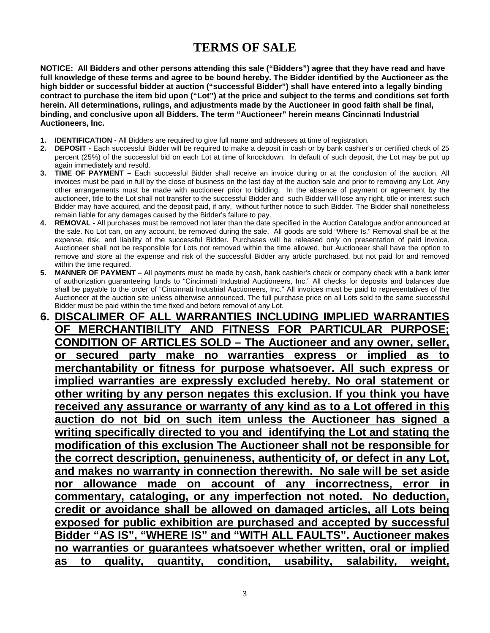## **TERMS OF SALE**

**NOTICE: All Bidders and other persons attending this sale ("Bidders") agree that they have read and have full knowledge of these terms and agree to be bound hereby. The Bidder identified by the Auctioneer as the high bidder or successful bidder at auction ("successful Bidder") shall have entered into a legally binding contract to purchase the item bid upon ("Lot") at the price and subject to the terms and conditions set forth herein. All determinations, rulings, and adjustments made by the Auctioneer in good faith shall be final, binding, and conclusive upon all Bidders. The term "Auctioneer" herein means Cincinnati Industrial Auctioneers, Inc.**

- **1. IDENTIFICATION -** All Bidders are required to give full name and addresses at time of registration.
- **2. DEPOSIT -** Each successful Bidder will be required to make a deposit in cash or by bank cashier's or certified check of 25 percent (25%) of the successful bid on each Lot at time of knockdown. In default of such deposit, the Lot may be put up again immediately and resold.
- **3. TIME OF PAYMENT –** Each successful Bidder shall receive an invoice during or at the conclusion of the auction. All invoices must be paid in full by the close of business on the last day of the auction sale and prior to removing any Lot. Any other arrangements must be made with auctioneer prior to bidding. In the absence of payment or agreement by the auctioneer, title to the Lot shall not transfer to the successful Bidder and such Bidder will lose any right, title or interest such Bidder may have acquired, and the deposit paid, if any, without further notice to such Bidder. The Bidder shall nonetheless remain liable for any damages caused by the Bidder's failure to pay.
- **4. REMOVAL -** All purchases must be removed not later than the date specified in the Auction Catalogue and/or announced at the sale. No Lot can, on any account, be removed during the sale. All goods are sold "Where Is." Removal shall be at the expense, risk, and liability of the successful Bidder. Purchases will be released only on presentation of paid invoice. Auctioneer shall not be responsible for Lots not removed within the time allowed, but Auctioneer shall have the option to remove and store at the expense and risk of the successful Bidder any article purchased, but not paid for and removed within the time required.
- **5. MANNER OF PAYMENT –** All payments must be made by cash, bank cashier's check or company check with a bank letter of authorization guaranteeing funds to "Cincinnati Industrial Auctioneers, Inc." All checks for deposits and balances due shall be payable to the order of "Cincinnati Industrial Auctioneers, Inc." All invoices must be paid to representatives of the Auctioneer at the auction site unless otherwise announced. The full purchase price on all Lots sold to the same successful Bidder must be paid within the time fixed and before removal of any Lot.
- **6. DISCALIMER OF ALL WARRANTIES INCLUDING IMPLIED WARRANTIES OF MERCHANTIBILITY AND FITNESS FOR PARTICULAR PURPOSE; CONDITION OF ARTICLES SOLD – The Auctioneer and any owner, seller, or secured party make no warranties express or implied as to merchantability or fitness for purpose whatsoever. All such express or implied warranties are expressly excluded hereby. No oral statement or other writing by any person negates this exclusion. If you think you have received any assurance or warranty of any kind as to a Lot offered in this auction do not bid on such item unless the Auctioneer has signed a writing specifically directed to you and identifying the Lot and stating the modification of this exclusion The Auctioneer shall not be responsible for the correct description, genuineness, authenticity of, or defect in any Lot, and makes no warranty in connection therewith. No sale will be set aside nor allowance made on account of any incorrectness, error in commentary, cataloging, or any imperfection not noted. No deduction, credit or avoidance shall be allowed on damaged articles, all Lots being exposed for public exhibition are purchased and accepted by successful Bidder "AS IS", "WHERE IS" and "WITH ALL FAULTS". Auctioneer makes no warranties or guarantees whatsoever whether written, oral or implied as to quality, quantity, condition, usability, salability, weight,**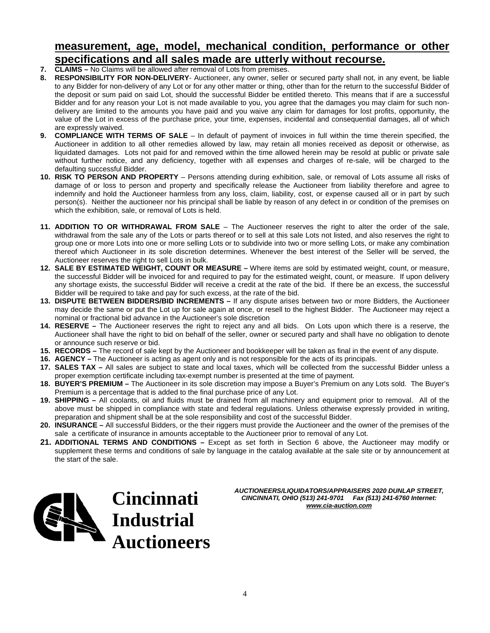## **measurement, age, model, mechanical condition, performance or other specifications and all sales made are utterly without recourse.**

- **7. CLAIMS –** No Claims will be allowed after removal of Lots from premises.
- **8. RESPONSIBILITY FOR NON-DELIVERY** Auctioneer, any owner, seller or secured party shall not, in any event, be liable to any Bidder for non-delivery of any Lot or for any other matter or thing, other than for the return to the successful Bidder of the deposit or sum paid on said Lot, should the successful Bidder be entitled thereto. This means that if are a successful Bidder and for any reason your Lot is not made available to you, you agree that the damages you may claim for such nondelivery are limited to the amounts you have paid and you waive any claim for damages for lost profits, opportunity, the value of the Lot in excess of the purchase price, your time, expenses, incidental and consequential damages, all of which are expressly waived.
- **9. COMPLIANCE WITH TERMS OF SALE**  In default of payment of invoices in full within the time therein specified, the Auctioneer in addition to all other remedies allowed by law, may retain all monies received as deposit or otherwise, as liquidated damages. Lots not paid for and removed within the time allowed herein may be resold at public or private sale without further notice, and any deficiency, together with all expenses and charges of re-sale, will be charged to the defaulting successful Bidder.
- **10. RISK TO PERSON AND PROPERTY**  Persons attending during exhibition, sale, or removal of Lots assume all risks of damage of or loss to person and property and specifically release the Auctioneer from liability therefore and agree to indemnify and hold the Auctioneer harmless from any loss, claim, liability, cost, or expense caused all or in part by such person(s). Neither the auctioneer nor his principal shall be liable by reason of any defect in or condition of the premises on which the exhibition, sale, or removal of Lots is held.
- **11. ADDITION TO OR WITHDRAWAL FROM SALE**  The Auctioneer reserves the right to alter the order of the sale, withdrawal from the sale any of the Lots or parts thereof or to sell at this sale Lots not listed, and also reserves the right to group one or more Lots into one or more selling Lots or to subdivide into two or more selling Lots, or make any combination thereof which Auctioneer in its sole discretion determines. Whenever the best interest of the Seller will be served, the Auctioneer reserves the right to sell Lots in bulk.
- **12. SALE BY ESTIMATED WEIGHT, COUNT OR MEASURE –** Where items are sold by estimated weight, count, or measure, the successful Bidder will be invoiced for and required to pay for the estimated weight, count, or measure. If upon delivery any shortage exists, the successful Bidder will receive a credit at the rate of the bid. If there be an excess, the successful Bidder will be required to take and pay for such excess, at the rate of the bid.
- **13. DISPUTE BETWEEN BIDDERS/BID INCREMENTS –** If any dispute arises between two or more Bidders, the Auctioneer may decide the same or put the Lot up for sale again at once, or resell to the highest Bidder. The Auctioneer may reject a nominal or fractional bid advance in the Auctioneer's sole discretion
- **14. RESERVE –** The Auctioneer reserves the right to reject any and all bids. On Lots upon which there is a reserve, the Auctioneer shall have the right to bid on behalf of the seller, owner or secured party and shall have no obligation to denote or announce such reserve or bid.
- **15. RECORDS –** The record of sale kept by the Auctioneer and bookkeeper will be taken as final in the event of any dispute.
- **16. AGENCY –** The Auctioneer is acting as agent only and is not responsible for the acts of its principals.
- **17. SALES TAX –** All sales are subject to state and local taxes, which will be collected from the successful Bidder unless a proper exemption certificate including tax-exempt number is presented at the time of payment.
- **18. BUYER'S PREMIUM –** The Auctioneer in its sole discretion may impose a Buyer's Premium on any Lots sold. The Buyer's Premium is a percentage that is added to the final purchase price of any Lot.
- **19. SHIPPING –** All coolants, oil and fluids must be drained from all machinery and equipment prior to removal. All of the above must be shipped in compliance with state and federal regulations. Unless otherwise expressly provided in writing, preparation and shipment shall be at the sole responsibility and cost of the successful Bidder.
- **20. INSURANCE –** All successful Bidders, or the their riggers must provide the Auctioneer and the owner of the premises of the sale a certificate of insurance in amounts acceptable to the Auctioneer prior to removal of any Lot.
- **21. ADDITIONAL TERMS AND CONDITIONS –** Except as set forth in Section 6 above, the Auctioneer may modify or supplement these terms and conditions of sale by language in the catalog available at the sale site or by announcement at the start of the sale.



*AUCTIONEERS/LIQUIDATORS/APPRAISERS 2020 DUNLAP STREET, CINCINNATI, OHIO (513) 241-9701 Fax (513) 241-6760 Internet: [www.cia-auction.com](http://www.cia-auction.com/)*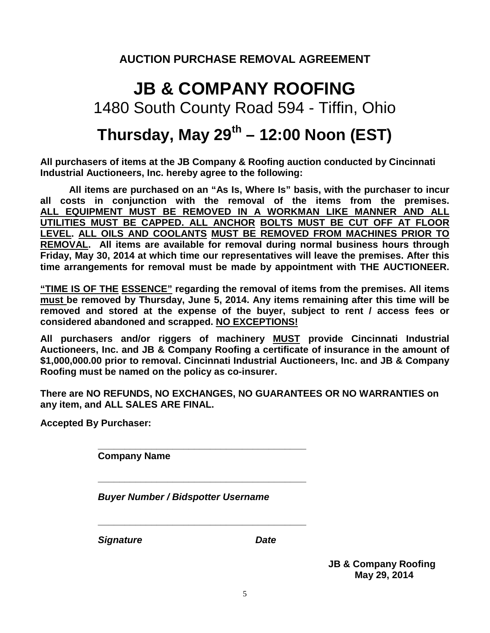# **JB & COMPANY ROOFING** 1480 South County Road 594 - Tiffin, Ohio

## **Thursday, May 29th – 12:00 Noon (EST)**

**All purchasers of items at the JB Company & Roofing auction conducted by Cincinnati Industrial Auctioneers, Inc. hereby agree to the following:**

**All items are purchased on an "As Is, Where Is" basis, with the purchaser to incur all costs in conjunction with the removal of the items from the premises. ALL EQUIPMENT MUST BE REMOVED IN A WORKMAN LIKE MANNER AND ALL UTILITIES MUST BE CAPPED. ALL ANCHOR BOLTS MUST BE CUT OFF AT FLOOR LEVEL. ALL OILS AND COOLANTS MUST BE REMOVED FROM MACHINES PRIOR TO REMOVAL. All items are available for removal during normal business hours through Friday, May 30, 2014 at which time our representatives will leave the premises. After this time arrangements for removal must be made by appointment with THE AUCTIONEER.**

**"TIME IS OF THE ESSENCE" regarding the removal of items from the premises. All items must be removed by Thursday, June 5, 2014. Any items remaining after this time will be removed and stored at the expense of the buyer, subject to rent / access fees or considered abandoned and scrapped. NO EXCEPTIONS!**

**All purchasers and/or riggers of machinery MUST provide Cincinnati Industrial Auctioneers, Inc. and JB & Company Roofing a certificate of insurance in the amount of \$1,000,000.00 prior to removal. Cincinnati Industrial Auctioneers, Inc. and JB & Company Roofing must be named on the policy as co-insurer.**

**There are NO REFUNDS, NO EXCHANGES, NO GUARANTEES OR NO WARRANTIES on any item, and ALL SALES ARE FINAL.**

**Accepted By Purchaser:**

**\_\_\_\_\_\_\_\_\_\_\_\_\_\_\_\_\_\_\_\_\_\_\_\_\_\_\_\_\_\_\_\_\_\_\_\_\_\_\_ Company Name**

*Buyer Number / Bidspotter Username*

**\_\_\_\_\_\_\_\_\_\_\_\_\_\_\_\_\_\_\_\_\_\_\_\_\_\_\_\_\_\_\_\_\_\_\_\_\_\_\_**

**\_\_\_\_\_\_\_\_\_\_\_\_\_\_\_\_\_\_\_\_\_\_\_\_\_\_\_\_\_\_\_\_\_\_\_\_\_\_\_**

*Signature Date*

 **JB & Company Roofing May 29, 2014**